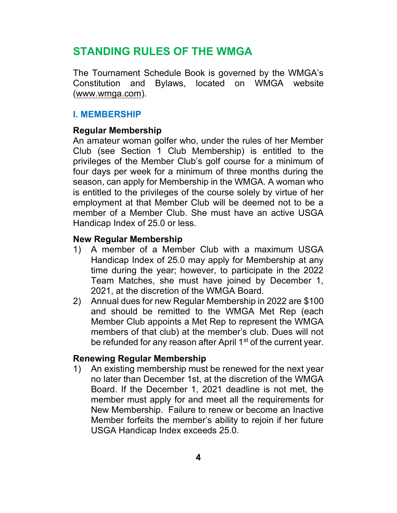# **STANDING RULES OF THE WMGA**

The Tournament Schedule Book is governed by the WMGA's Constitution and Bylaws, located on WMGA website (www.wmga.com).

### **I. MEMBERSHIP**

#### **Regular Membership**

An amateur woman golfer who, under the rules of her Member Club (see Section 1 Club Membership) is entitled to the privileges of the Member Club's golf course for a minimum of four days per week for a minimum of three months during the season, can apply for Membership in the WMGA. A woman who is entitled to the privileges of the course solely by virtue of her employment at that Member Club will be deemed not to be a member of a Member Club. She must have an active USGA Handicap Index of 25.0 or less.

#### **New Regular Membership**

- 1) A member of a Member Club with a maximum USGA Handicap Index of 25.0 may apply for Membership at any time during the year; however, to participate in the 2022 Team Matches, she must have joined by December 1, 2021, at the discretion of the WMGA Board.
- 2) Annual dues for new Regular Membership in 2022 are \$100 and should be remitted to the WMGA Met Rep (each Member Club appoints a Met Rep to represent the WMGA members of that club) at the member's club. Dues will not be refunded for any reason after April 1<sup>st</sup> of the current year.

#### **Renewing Regular Membership**

1) An existing membership must be renewed for the next year no later than December 1st, at the discretion of the WMGA Board. If the December 1, 2021 deadline is not met, the member must apply for and meet all the requirements for New Membership. Failure to renew or become an Inactive Member forfeits the member's ability to rejoin if her future USGA Handicap Index exceeds 25.0.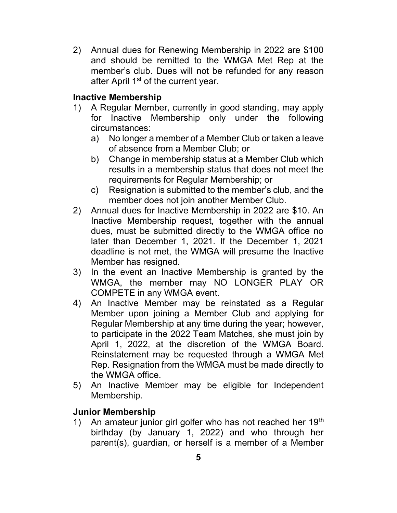2) Annual dues for Renewing Membership in 2022 are \$100 and should be remitted to the WMGA Met Rep at the member's club. Dues will not be refunded for any reason after April 1<sup>st</sup> of the current year.

# **Inactive Membership**

- 1) A Regular Member, currently in good standing, may apply for Inactive Membership only under the following circumstances:
	- a) No longer a member of a Member Club or taken a leave of absence from a Member Club; or
	- b) Change in membership status at a Member Club which results in a membership status that does not meet the requirements for Regular Membership; or
	- c) Resignation is submitted to the member's club, and the member does not join another Member Club.
- 2) Annual dues for Inactive Membership in 2022 are \$10. An Inactive Membership request, together with the annual dues, must be submitted directly to the WMGA office no later than December 1, 2021. If the December 1, 2021 deadline is not met, the WMGA will presume the Inactive Member has resigned.
- 3) In the event an Inactive Membership is granted by the WMGA, the member may NO LONGER PLAY OR COMPETE in any WMGA event.
- 4) An Inactive Member may be reinstated as a Regular Member upon joining a Member Club and applying for Regular Membership at any time during the year; however, to participate in the 2022 Team Matches, she must join by April 1, 2022, at the discretion of the WMGA Board. Reinstatement may be requested through a WMGA Met Rep. Resignation from the WMGA must be made directly to the WMGA office.
- 5) An Inactive Member may be eligible for Independent Membership.

# **Junior Membership**

1) An amateur junior girl golfer who has not reached her  $19<sup>th</sup>$ birthday (by January 1, 2022) and who through her parent(s), guardian, or herself is a member of a Member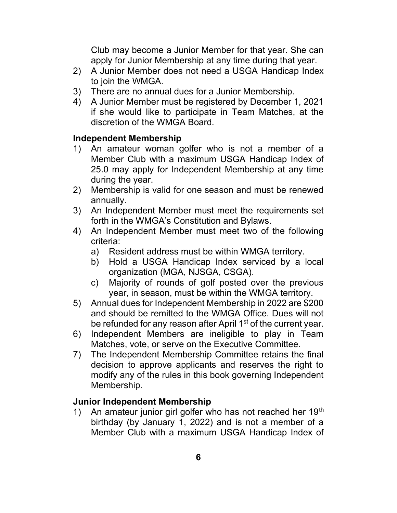Club may become a Junior Member for that year. She can apply for Junior Membership at any time during that year.

- 2) A Junior Member does not need a USGA Handicap Index to join the WMGA.
- 3) There are no annual dues for a Junior Membership.
- 4) A Junior Member must be registered by December 1, 2021 if she would like to participate in Team Matches, at the discretion of the WMGA Board.

# **Independent Membership**

- 1) An amateur woman golfer who is not a member of a Member Club with a maximum USGA Handicap Index of 25.0 may apply for Independent Membership at any time during the year.
- 2) Membership is valid for one season and must be renewed annually.
- 3) An Independent Member must meet the requirements set forth in the WMGA's Constitution and Bylaws.
- 4) An Independent Member must meet two of the following criteria:
	- a) Resident address must be within WMGA territory.
	- b) Hold a USGA Handicap Index serviced by a local organization (MGA, NJSGA, CSGA).
	- c) Majority of rounds of golf posted over the previous year, in season, must be within the WMGA territory.
- 5) Annual dues for Independent Membership in 2022 are \$200 and should be remitted to the WMGA Office. Dues will not be refunded for any reason after April 1<sup>st</sup> of the current year.
- 6) Independent Members are ineligible to play in Team Matches, vote, or serve on the Executive Committee.
- 7) The Independent Membership Committee retains the final decision to approve applicants and reserves the right to modify any of the rules in this book governing Independent Membership.

# **Junior Independent Membership**

1) An amateur junior girl golfer who has not reached her  $19<sup>th</sup>$ birthday (by January 1, 2022) and is not a member of a Member Club with a maximum USGA Handicap Index of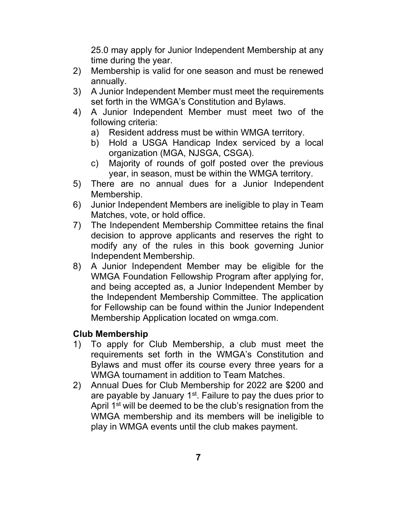25.0 may apply for Junior Independent Membership at any time during the year.

- 2) Membership is valid for one season and must be renewed annually.
- 3) A Junior Independent Member must meet the requirements set forth in the WMGA's Constitution and Bylaws.
- 4) A Junior Independent Member must meet two of the following criteria:
	- a) Resident address must be within WMGA territory.
	- b) Hold a USGA Handicap Index serviced by a local organization (MGA, NJSGA, CSGA).
	- c) Majority of rounds of golf posted over the previous year, in season, must be within the WMGA territory.
- 5) There are no annual dues for a Junior Independent Membership.
- 6) Junior Independent Members are ineligible to play in Team Matches, vote, or hold office.
- 7) The Independent Membership Committee retains the final decision to approve applicants and reserves the right to modify any of the rules in this book governing Junior Independent Membership.
- 8) A Junior Independent Member may be eligible for the WMGA Foundation Fellowship Program after applying for, and being accepted as, a Junior Independent Member by the Independent Membership Committee. The application for Fellowship can be found within the Junior Independent Membership Application located on wmga.com.

# **Club Membership**

- 1) To apply for Club Membership, a club must meet the requirements set forth in the WMGA's Constitution and Bylaws and must offer its course every three years for a WMGA tournament in addition to Team Matches.
- 2) Annual Dues for Club Membership for 2022 are \$200 and are payable by January  $1<sup>st</sup>$ . Failure to pay the dues prior to April 1<sup>st</sup> will be deemed to be the club's resignation from the WMGA membership and its members will be ineligible to play in WMGA events until the club makes payment.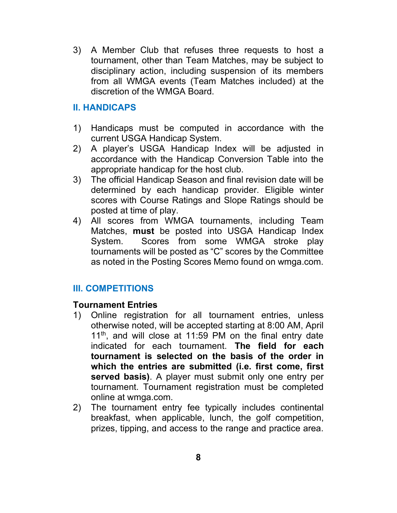3) A Member Club that refuses three requests to host a tournament, other than Team Matches, may be subject to disciplinary action, including suspension of its members from all WMGA events (Team Matches included) at the discretion of the WMGA Board.

# **II. HANDICAPS**

- 1) Handicaps must be computed in accordance with the current USGA Handicap System.
- 2) A player's USGA Handicap Index will be adjusted in accordance with the Handicap Conversion Table into the appropriate handicap for the host club.
- 3) The official Handicap Season and final revision date will be determined by each handicap provider. Eligible winter scores with Course Ratings and Slope Ratings should be posted at time of play.
- 4) All scores from WMGA tournaments, including Team Matches, **must** be posted into USGA Handicap Index System. Scores from some WMGA stroke play tournaments will be posted as "C" scores by the Committee as noted in the Posting Scores Memo found on wmga.com.

# **III. COMPETITIONS**

#### **Tournament Entries**

- 1) Online registration for all tournament entries, unless otherwise noted, will be accepted starting at 8:00 AM, April  $11<sup>th</sup>$ , and will close at 11:59 PM on the final entry date indicated for each tournament. **The field for each tournament is selected on the basis of the order in which the entries are submitted (i.e. first come, first served basis)**. A player must submit only one entry per tournament. Tournament registration must be completed online at wmga.com.
- 2) The tournament entry fee typically includes continental breakfast, when applicable, lunch, the golf competition, prizes, tipping, and access to the range and practice area.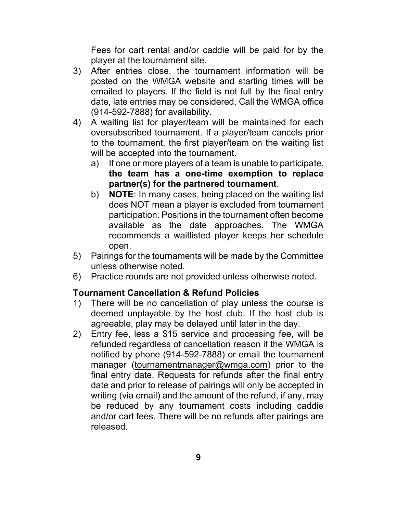Fees for cart rental and/or caddie will be paid for by the player at the tournament site.

- 3) After entries close, the tournament information will be posted on the WMGA website and starting times will be emailed to players. If the field is not full by the final entry date, late entries may be considered. Call the WMGA office (914-592-7888) for availability.
- 4) A waiting list for player/team will be maintained for each oversubscribed tournament. If a player/team cancels prior to the tournament, the first player/team on the waiting list will be accepted into the tournament.
	- a) If one or more players of a team is unable to participate, **the team has a one-time exemption to replace partner(s) for the partnered tournament**.
	- b) **NOTE**: In many cases, being placed on the waiting list does NOT mean a player is excluded from tournament participation. Positions in the tournament often become available as the date approaches. The WMGA recommends a waitlisted player keeps her schedule open.
- 5) Pairings for the tournaments will be made by the Committee unless otherwise noted.
- 6) Practice rounds are not provided unless otherwise noted.

# **Tournament Cancellation & Refund Policies**

- 1) There will be no cancellation of play unless the course is deemed unplayable by the host club. If the host club is agreeable, play may be delayed until later in the day.
- 2) Entry fee, less a \$15 service and processing fee, will be refunded regardless of cancellation reason if the WMGA is notified by phone (914-592-7888) or email the tournament manager (tournamentmanager@wmga.com) prior to the final entry date. Requests for refunds after the final entry date and prior to release of pairings will only be accepted in writing (via email) and the amount of the refund, if any, may be reduced by any tournament costs including caddie and/or cart fees. There will be no refunds after pairings are released.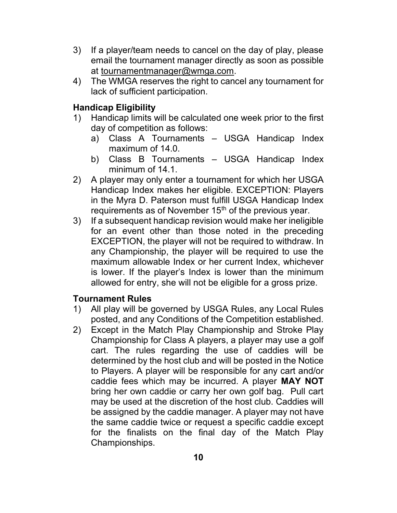- 3) If a player/team needs to cancel on the day of play, please email the tournament manager directly as soon as possible at tournamentmanager@wmga.com.
- 4) The WMGA reserves the right to cancel any tournament for lack of sufficient participation.

# **Handicap Eligibility**

- 1) Handicap limits will be calculated one week prior to the first day of competition as follows:
	- a) Class A Tournaments USGA Handicap Index maximum of 14.0.
	- b) Class B Tournaments USGA Handicap Index minimum of 14.1.
- 2) A player may only enter a tournament for which her USGA Handicap Index makes her eligible. EXCEPTION: Players in the Myra D. Paterson must fulfill USGA Handicap Index requirements as of November 15<sup>th</sup> of the previous year.
- 3) If a subsequent handicap revision would make her ineligible for an event other than those noted in the preceding EXCEPTION, the player will not be required to withdraw. In any Championship, the player will be required to use the maximum allowable Index or her current Index, whichever is lower. If the player's Index is lower than the minimum allowed for entry, she will not be eligible for a gross prize.

# **Tournament Rules**

- 1) All play will be governed by USGA Rules, any Local Rules posted, and any Conditions of the Competition established.
- 2) Except in the Match Play Championship and Stroke Play Championship for Class A players, a player may use a golf cart. The rules regarding the use of caddies will be determined by the host club and will be posted in the Notice to Players. A player will be responsible for any cart and/or caddie fees which may be incurred. A player **MAY NOT** bring her own caddie or carry her own golf bag. Pull cart may be used at the discretion of the host club. Caddies will be assigned by the caddie manager. A player may not have the same caddie twice or request a specific caddie except for the finalists on the final day of the Match Play Championships.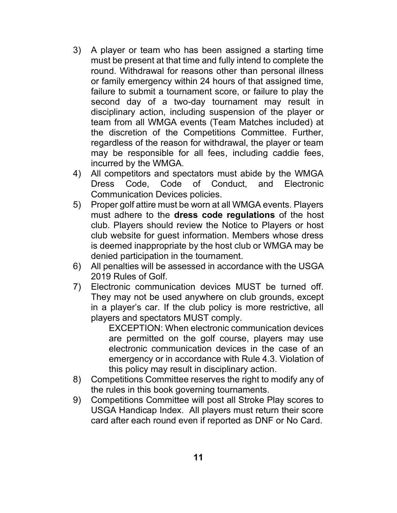- 3) A player or team who has been assigned a starting time must be present at that time and fully intend to complete the round. Withdrawal for reasons other than personal illness or family emergency within 24 hours of that assigned time, failure to submit a tournament score, or failure to play the second day of a two-day tournament may result in disciplinary action, including suspension of the player or team from all WMGA events (Team Matches included) at the discretion of the Competitions Committee. Further, regardless of the reason for withdrawal, the player or team may be responsible for all fees, including caddie fees, incurred by the WMGA.
- 4) All competitors and spectators must abide by the WMGA Dress Code, Code of Conduct, and Electronic Communication Devices policies.
- 5) Proper golf attire must be worn at all WMGA events. Players must adhere to the **dress code regulations** of the host club. Players should review the Notice to Players or host club website for guest information. Members whose dress is deemed inappropriate by the host club or WMGA may be denied participation in the tournament.
- 6) All penalties will be assessed in accordance with the USGA 2019 Rules of Golf.
- 7) Electronic communication devices MUST be turned off. They may not be used anywhere on club grounds, except in a player's car. If the club policy is more restrictive, all players and spectators MUST comply.

EXCEPTION: When electronic communication devices are permitted on the golf course, players may use electronic communication devices in the case of an emergency or in accordance with Rule 4.3. Violation of this policy may result in disciplinary action.

- 8) Competitions Committee reserves the right to modify any of the rules in this book governing tournaments.
- 9) Competitions Committee will post all Stroke Play scores to USGA Handicap Index. All players must return their score card after each round even if reported as DNF or No Card.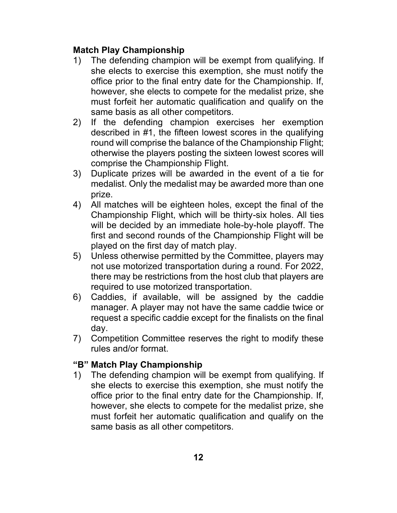# **Match Play Championship**

- 1) The defending champion will be exempt from qualifying. If she elects to exercise this exemption, she must notify the office prior to the final entry date for the Championship. If, however, she elects to compete for the medalist prize, she must forfeit her automatic qualification and qualify on the same basis as all other competitors.
- 2) If the defending champion exercises her exemption described in #1, the fifteen lowest scores in the qualifying round will comprise the balance of the Championship Flight; otherwise the players posting the sixteen lowest scores will comprise the Championship Flight.
- 3) Duplicate prizes will be awarded in the event of a tie for medalist. Only the medalist may be awarded more than one prize.
- 4) All matches will be eighteen holes, except the final of the Championship Flight, which will be thirty-six holes. All ties will be decided by an immediate hole-by-hole playoff. The first and second rounds of the Championship Flight will be played on the first day of match play.
- 5) Unless otherwise permitted by the Committee, players may not use motorized transportation during a round. For 2022, there may be restrictions from the host club that players are required to use motorized transportation.
- 6) Caddies, if available, will be assigned by the caddie manager. A player may not have the same caddie twice or request a specific caddie except for the finalists on the final day.
- 7) Competition Committee reserves the right to modify these rules and/or format.

# **"B" Match Play Championship**

1) The defending champion will be exempt from qualifying. If she elects to exercise this exemption, she must notify the office prior to the final entry date for the Championship. If, however, she elects to compete for the medalist prize, she must forfeit her automatic qualification and qualify on the same basis as all other competitors.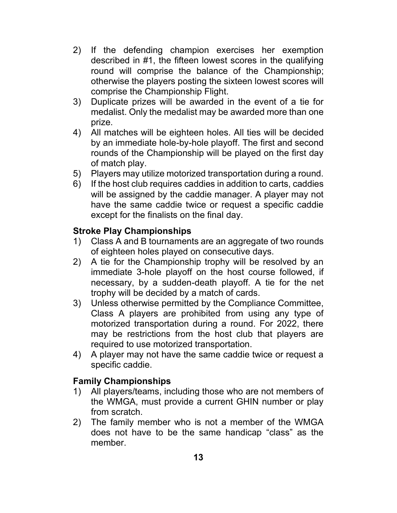- 2) If the defending champion exercises her exemption described in #1, the fifteen lowest scores in the qualifying round will comprise the balance of the Championship; otherwise the players posting the sixteen lowest scores will comprise the Championship Flight.
- 3) Duplicate prizes will be awarded in the event of a tie for medalist. Only the medalist may be awarded more than one prize.
- 4) All matches will be eighteen holes. All ties will be decided by an immediate hole-by-hole playoff. The first and second rounds of the Championship will be played on the first day of match play.
- 5) Players may utilize motorized transportation during a round.
- 6) If the host club requires caddies in addition to carts, caddies will be assigned by the caddie manager. A player may not have the same caddie twice or request a specific caddie except for the finalists on the final day.

# **Stroke Play Championships**

- 1) Class A and B tournaments are an aggregate of two rounds of eighteen holes played on consecutive days.
- 2) A tie for the Championship trophy will be resolved by an immediate 3-hole playoff on the host course followed, if necessary, by a sudden-death playoff. A tie for the net trophy will be decided by a match of cards.
- 3) Unless otherwise permitted by the Compliance Committee, Class A players are prohibited from using any type of motorized transportation during a round. For 2022, there may be restrictions from the host club that players are required to use motorized transportation.
- 4) A player may not have the same caddie twice or request a specific caddie.

# **Family Championships**

- 1) All players/teams, including those who are not members of the WMGA, must provide a current GHIN number or play from scratch.
- 2) The family member who is not a member of the WMGA does not have to be the same handicap "class" as the member.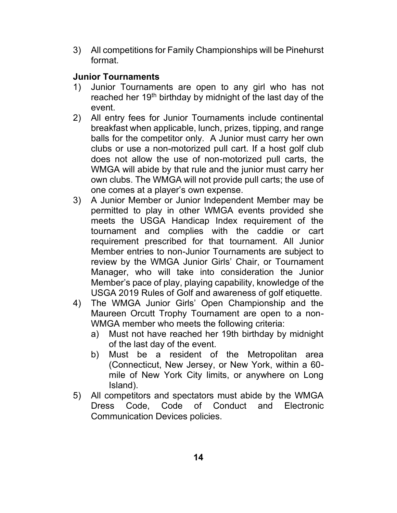3) All competitions for Family Championships will be Pinehurst format.

# **Junior Tournaments**

- 1) Junior Tournaments are open to any girl who has not reached her 19<sup>th</sup> birthday by midnight of the last day of the event.
- 2) All entry fees for Junior Tournaments include continental breakfast when applicable, lunch, prizes, tipping, and range balls for the competitor only. A Junior must carry her own clubs or use a non-motorized pull cart. If a host golf club does not allow the use of non-motorized pull carts, the WMGA will abide by that rule and the junior must carry her own clubs. The WMGA will not provide pull carts; the use of one comes at a player's own expense.
- 3) A Junior Member or Junior Independent Member may be permitted to play in other WMGA events provided she meets the USGA Handicap Index requirement of the tournament and complies with the caddie or cart requirement prescribed for that tournament. All Junior Member entries to non-Junior Tournaments are subject to review by the WMGA Junior Girls' Chair, or Tournament Manager, who will take into consideration the Junior Member's pace of play, playing capability, knowledge of the USGA 2019 Rules of Golf and awareness of golf etiquette.
- 4) The WMGA Junior Girls' Open Championship and the Maureen Orcutt Trophy Tournament are open to a non-WMGA member who meets the following criteria:
	- a) Must not have reached her 19th birthday by midnight of the last day of the event.
	- b) Must be a resident of the Metropolitan area (Connecticut, New Jersey, or New York, within a 60 mile of New York City limits, or anywhere on Long Island).
- 5) All competitors and spectators must abide by the WMGA Dress Code, Code of Conduct and Electronic Communication Devices policies.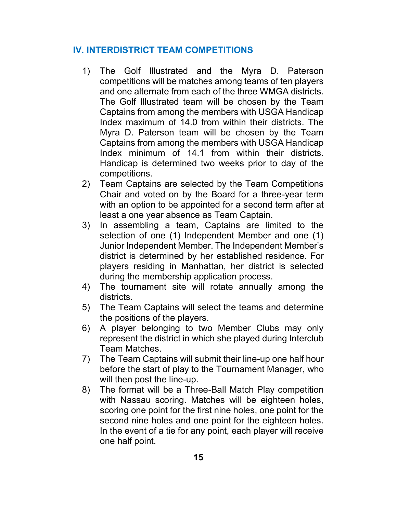# **IV. INTERDISTRICT TEAM COMPETITIONS**

- 1) The Golf Illustrated and the Myra D. Paterson competitions will be matches among teams of ten players and one alternate from each of the three WMGA districts. The Golf Illustrated team will be chosen by the Team Captains from among the members with USGA Handicap Index maximum of 14.0 from within their districts. The Myra D. Paterson team will be chosen by the Team Captains from among the members with USGA Handicap Index minimum of 14.1 from within their districts. Handicap is determined two weeks prior to day of the competitions.
- 2) Team Captains are selected by the Team Competitions Chair and voted on by the Board for a three-year term with an option to be appointed for a second term after at least a one year absence as Team Captain.
- 3) In assembling a team, Captains are limited to the selection of one (1) Independent Member and one (1) Junior Independent Member. The Independent Member's district is determined by her established residence. For players residing in Manhattan, her district is selected during the membership application process.
- 4) The tournament site will rotate annually among the districts.
- 5) The Team Captains will select the teams and determine the positions of the players.
- 6) A player belonging to two Member Clubs may only represent the district in which she played during Interclub Team Matches.
- 7) The Team Captains will submit their line-up one half hour before the start of play to the Tournament Manager, who will then post the line-up.
- 8) The format will be a Three-Ball Match Play competition with Nassau scoring. Matches will be eighteen holes, scoring one point for the first nine holes, one point for the second nine holes and one point for the eighteen holes. In the event of a tie for any point, each player will receive one half point.